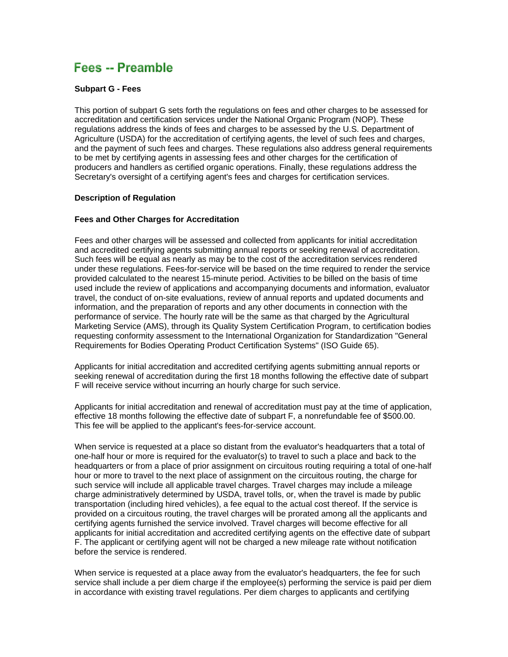# Fees -- Preamble

## **Subpart G - Fees**

This portion of subpart G sets forth the regulations on fees and other charges to be assessed for accreditation and certification services under the National Organic Program (NOP). These regulations address the kinds of fees and charges to be assessed by the U.S. Department of Agriculture (USDA) for the accreditation of certifying agents, the level of such fees and charges, and the payment of such fees and charges. These regulations also address general requirements to be met by certifying agents in assessing fees and other charges for the certification of producers and handlers as certified organic operations. Finally, these regulations address the Secretary's oversight of a certifying agent's fees and charges for certification services.

# **Description of Regulation**

# **Fees and Other Charges for Accreditation**

Fees and other charges will be assessed and collected from applicants for initial accreditation and accredited certifying agents submitting annual reports or seeking renewal of accreditation. Such fees will be equal as nearly as may be to the cost of the accreditation services rendered under these regulations. Fees-for-service will be based on the time required to render the service provided calculated to the nearest 15-minute period. Activities to be billed on the basis of time used include the review of applications and accompanying documents and information, evaluator travel, the conduct of on-site evaluations, review of annual reports and updated documents and information, and the preparation of reports and any other documents in connection with the performance of service. The hourly rate will be the same as that charged by the Agricultural Marketing Service (AMS), through its Quality System Certification Program, to certification bodies requesting conformity assessment to the International Organization for Standardization "General Requirements for Bodies Operating Product Certification Systems" (ISO Guide 65).

Applicants for initial accreditation and accredited certifying agents submitting annual reports or seeking renewal of accreditation during the first 18 months following the effective date of subpart F will receive service without incurring an hourly charge for such service.

Applicants for initial accreditation and renewal of accreditation must pay at the time of application, effective 18 months following the effective date of subpart F, a nonrefundable fee of \$500.00. This fee will be applied to the applicant's fees-for-service account.

When service is requested at a place so distant from the evaluator's headquarters that a total of one-half hour or more is required for the evaluator(s) to travel to such a place and back to the headquarters or from a place of prior assignment on circuitous routing requiring a total of one-half hour or more to travel to the next place of assignment on the circuitous routing, the charge for such service will include all applicable travel charges. Travel charges may include a mileage charge administratively determined by USDA, travel tolls, or, when the travel is made by public transportation (including hired vehicles), a fee equal to the actual cost thereof. If the service is provided on a circuitous routing, the travel charges will be prorated among all the applicants and certifying agents furnished the service involved. Travel charges will become effective for all applicants for initial accreditation and accredited certifying agents on the effective date of subpart F. The applicant or certifying agent will not be charged a new mileage rate without notification before the service is rendered.

When service is requested at a place away from the evaluator's headquarters, the fee for such service shall include a per diem charge if the employee(s) performing the service is paid per diem in accordance with existing travel regulations. Per diem charges to applicants and certifying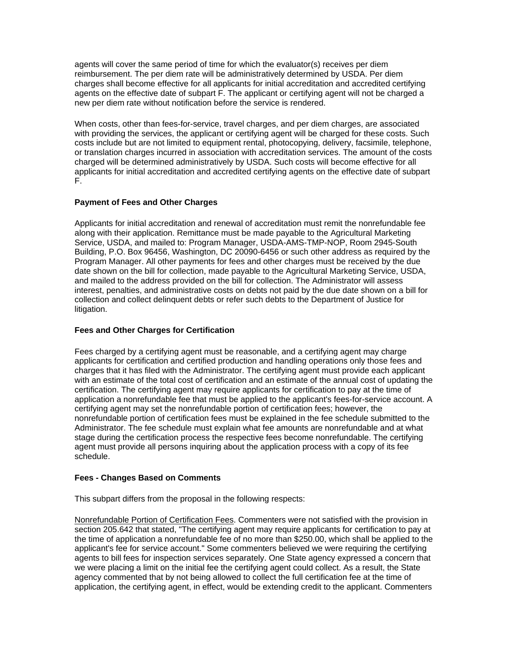agents will cover the same period of time for which the evaluator(s) receives per diem reimbursement. The per diem rate will be administratively determined by USDA. Per diem charges shall become effective for all applicants for initial accreditation and accredited certifying agents on the effective date of subpart F. The applicant or certifying agent will not be charged a new per diem rate without notification before the service is rendered.

When costs, other than fees-for-service, travel charges, and per diem charges, are associated with providing the services, the applicant or certifying agent will be charged for these costs. Such costs include but are not limited to equipment rental, photocopying, delivery, facsimile, telephone, or translation charges incurred in association with accreditation services. The amount of the costs charged will be determined administratively by USDA. Such costs will become effective for all applicants for initial accreditation and accredited certifying agents on the effective date of subpart F.

# **Payment of Fees and Other Charges**

Applicants for initial accreditation and renewal of accreditation must remit the nonrefundable fee along with their application. Remittance must be made payable to the Agricultural Marketing Service, USDA, and mailed to: Program Manager, USDA-AMS-TMP-NOP, Room 2945-South Building, P.O. Box 96456, Washington, DC 20090-6456 or such other address as required by the Program Manager. All other payments for fees and other charges must be received by the due date shown on the bill for collection, made payable to the Agricultural Marketing Service, USDA, and mailed to the address provided on the bill for collection. The Administrator will assess interest, penalties, and administrative costs on debts not paid by the due date shown on a bill for collection and collect delinquent debts or refer such debts to the Department of Justice for litigation.

## **Fees and Other Charges for Certification**

Fees charged by a certifying agent must be reasonable, and a certifying agent may charge applicants for certification and certified production and handling operations only those fees and charges that it has filed with the Administrator. The certifying agent must provide each applicant with an estimate of the total cost of certification and an estimate of the annual cost of updating the certification. The certifying agent may require applicants for certification to pay at the time of application a nonrefundable fee that must be applied to the applicant's fees-for-service account. A certifying agent may set the nonrefundable portion of certification fees; however, the nonrefundable portion of certification fees must be explained in the fee schedule submitted to the Administrator. The fee schedule must explain what fee amounts are nonrefundable and at what stage during the certification process the respective fees become nonrefundable. The certifying agent must provide all persons inquiring about the application process with a copy of its fee schedule.

#### **Fees - Changes Based on Comments**

This subpart differs from the proposal in the following respects:

Nonrefundable Portion of Certification Fees. Commenters were not satisfied with the provision in section 205.642 that stated, "The certifying agent may require applicants for certification to pay at the time of application a nonrefundable fee of no more than \$250.00, which shall be applied to the applicant's fee for service account." Some commenters believed we were requiring the certifying agents to bill fees for inspection services separately. One State agency expressed a concern that we were placing a limit on the initial fee the certifying agent could collect. As a result, the State agency commented that by not being allowed to collect the full certification fee at the time of application, the certifying agent, in effect, would be extending credit to the applicant. Commenters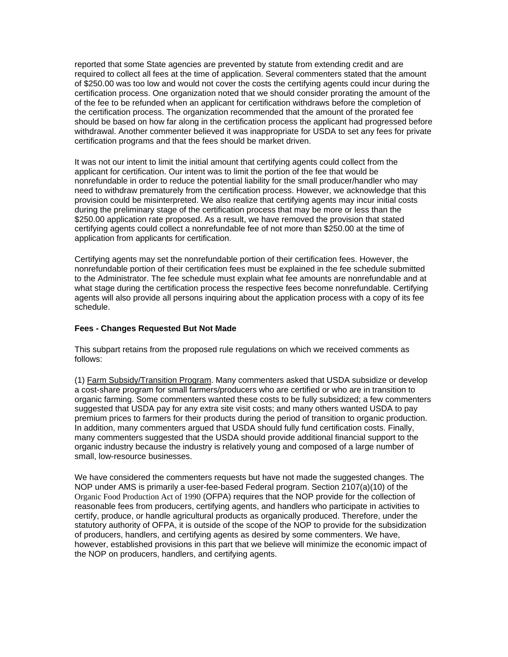reported that some State agencies are prevented by statute from extending credit and are required to collect all fees at the time of application. Several commenters stated that the amount of \$250.00 was too low and would not cover the costs the certifying agents could incur during the certification process. One organization noted that we should consider prorating the amount of the of the fee to be refunded when an applicant for certification withdraws before the completion of the certification process. The organization recommended that the amount of the prorated fee should be based on how far along in the certification process the applicant had progressed before withdrawal. Another commenter believed it was inappropriate for USDA to set any fees for private certification programs and that the fees should be market driven.

It was not our intent to limit the initial amount that certifying agents could collect from the applicant for certification. Our intent was to limit the portion of the fee that would be nonrefundable in order to reduce the potential liability for the small producer/handler who may need to withdraw prematurely from the certification process. However, we acknowledge that this provision could be misinterpreted. We also realize that certifying agents may incur initial costs during the preliminary stage of the certification process that may be more or less than the \$250.00 application rate proposed. As a result, we have removed the provision that stated certifying agents could collect a nonrefundable fee of not more than \$250.00 at the time of application from applicants for certification.

Certifying agents may set the nonrefundable portion of their certification fees. However, the nonrefundable portion of their certification fees must be explained in the fee schedule submitted to the Administrator. The fee schedule must explain what fee amounts are nonrefundable and at what stage during the certification process the respective fees become nonrefundable. Certifying agents will also provide all persons inquiring about the application process with a copy of its fee schedule.

# **Fees - Changes Requested But Not Made**

This subpart retains from the proposed rule regulations on which we received comments as follows:

(1) Farm Subsidy/Transition Program. Many commenters asked that USDA subsidize or develop a cost-share program for small farmers/producers who are certified or who are in transition to organic farming. Some commenters wanted these costs to be fully subsidized; a few commenters suggested that USDA pay for any extra site visit costs; and many others wanted USDA to pay premium prices to farmers for their products during the period of transition to organic production. In addition, many commenters argued that USDA should fully fund certification costs. Finally, many commenters suggested that the USDA should provide additional financial support to the organic industry because the industry is relatively young and composed of a large number of small, low-resource businesses.

We have considered the commenters requests but have not made the suggested changes. The NOP under AMS is primarily a user-fee-based Federal program. Section 2107(a)(10) of the Organic Food Production Act of 1990 (OFPA) requires that the NOP provide for the collection of reasonable fees from producers, certifying agents, and handlers who participate in activities to certify, produce, or handle agricultural products as organically produced. Therefore, under the statutory authority of OFPA, it is outside of the scope of the NOP to provide for the subsidization of producers, handlers, and certifying agents as desired by some commenters. We have, however, established provisions in this part that we believe will minimize the economic impact of the NOP on producers, handlers, and certifying agents.